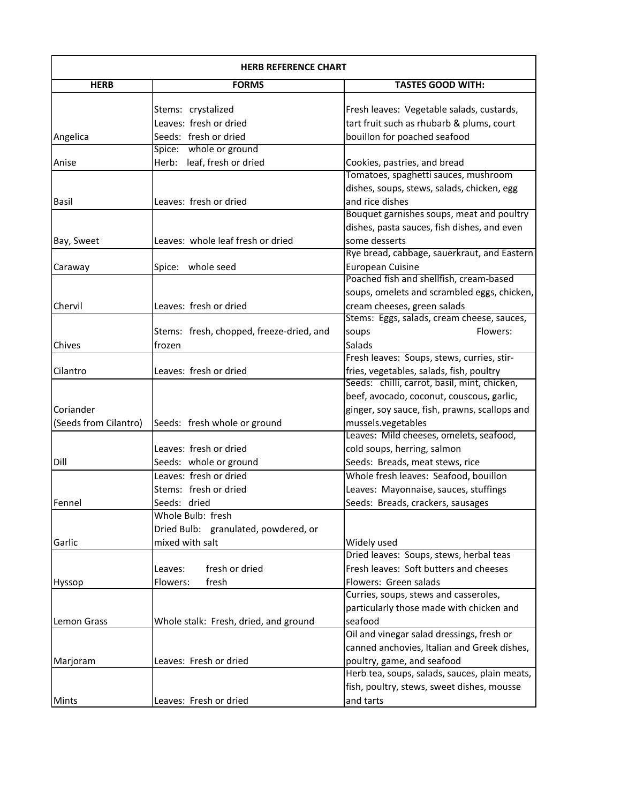| <b>HERB REFERENCE CHART</b> |                                          |                                                                      |
|-----------------------------|------------------------------------------|----------------------------------------------------------------------|
| <b>HERB</b>                 | <b>FORMS</b>                             | <b>TASTES GOOD WITH:</b>                                             |
|                             | Stems: crystalized                       | Fresh leaves: Vegetable salads, custards,                            |
|                             | Leaves: fresh or dried                   | tart fruit such as rhubarb & plums, court                            |
|                             | Seeds: fresh or dried                    |                                                                      |
| Angelica                    | Spice: whole or ground                   | bouillon for poached seafood                                         |
| Anise                       | Herb: leaf, fresh or dried               |                                                                      |
|                             |                                          | Cookies, pastries, and bread<br>Tomatoes, spaghetti sauces, mushroom |
|                             |                                          | dishes, soups, stews, salads, chicken, egg                           |
| Basil                       | Leaves: fresh or dried                   | and rice dishes                                                      |
|                             |                                          | Bouquet garnishes soups, meat and poultry                            |
|                             |                                          |                                                                      |
|                             |                                          | dishes, pasta sauces, fish dishes, and even                          |
| Bay, Sweet                  | Leaves: whole leaf fresh or dried        | some desserts                                                        |
|                             |                                          | Rye bread, cabbage, sauerkraut, and Eastern                          |
| Caraway                     | Spice: whole seed                        | European Cuisine                                                     |
|                             |                                          | Poached fish and shellfish, cream-based                              |
|                             |                                          | soups, omelets and scrambled eggs, chicken,                          |
| Chervil                     | Leaves: fresh or dried                   | cream cheeses, green salads                                          |
|                             |                                          | Stems: Eggs, salads, cream cheese, sauces,                           |
|                             | Stems: fresh, chopped, freeze-dried, and | Flowers:<br>soups                                                    |
| <b>Chives</b>               | frozen                                   | Salads                                                               |
|                             |                                          | Fresh leaves: Soups, stews, curries, stir-                           |
| Cilantro                    | Leaves: fresh or dried                   | fries, vegetables, salads, fish, poultry                             |
|                             |                                          | Seeds: chilli, carrot, basil, mint, chicken,                         |
|                             |                                          | beef, avocado, coconut, couscous, garlic,                            |
| Coriander                   |                                          | ginger, soy sauce, fish, prawns, scallops and                        |
| (Seeds from Cilantro)       | Seeds: fresh whole or ground             | mussels.vegetables                                                   |
|                             |                                          | Leaves: Mild cheeses, omelets, seafood,                              |
|                             | Leaves: fresh or dried                   | cold soups, herring, salmon                                          |
| Dill                        | Seeds: whole or ground                   | Seeds: Breads, meat stews, rice                                      |
|                             | Leaves: fresh or dried                   | Whole fresh leaves: Seafood, bouillon                                |
|                             | Stems: fresh or dried                    | Leaves: Mayonnaise, sauces, stuffings                                |
| Fennel                      | Seeds: dried                             | Seeds: Breads, crackers, sausages                                    |
|                             | Whole Bulb: fresh                        |                                                                      |
|                             | Dried Bulb: granulated, powdered, or     |                                                                      |
| Garlic                      | mixed with salt                          | Widely used                                                          |
|                             |                                          | Dried leaves: Soups, stews, herbal teas                              |
|                             | fresh or dried<br>Leaves:                | Fresh leaves: Soft butters and cheeses                               |
| <b>Hyssop</b>               | fresh<br>Flowers:                        | Flowers: Green salads                                                |
|                             |                                          | Curries, soups, stews and casseroles,                                |
|                             |                                          | particularly those made with chicken and                             |
| Lemon Grass                 | Whole stalk: Fresh, dried, and ground    | seafood                                                              |
|                             |                                          | Oil and vinegar salad dressings, fresh or                            |
|                             |                                          | canned anchovies, Italian and Greek dishes,                          |
| Marjoram                    | Leaves: Fresh or dried                   | poultry, game, and seafood                                           |
|                             |                                          | Herb tea, soups, salads, sauces, plain meats,                        |
|                             |                                          | fish, poultry, stews, sweet dishes, mousse                           |
|                             | Leaves: Fresh or dried                   | and tarts                                                            |
| <b>Mints</b>                |                                          |                                                                      |